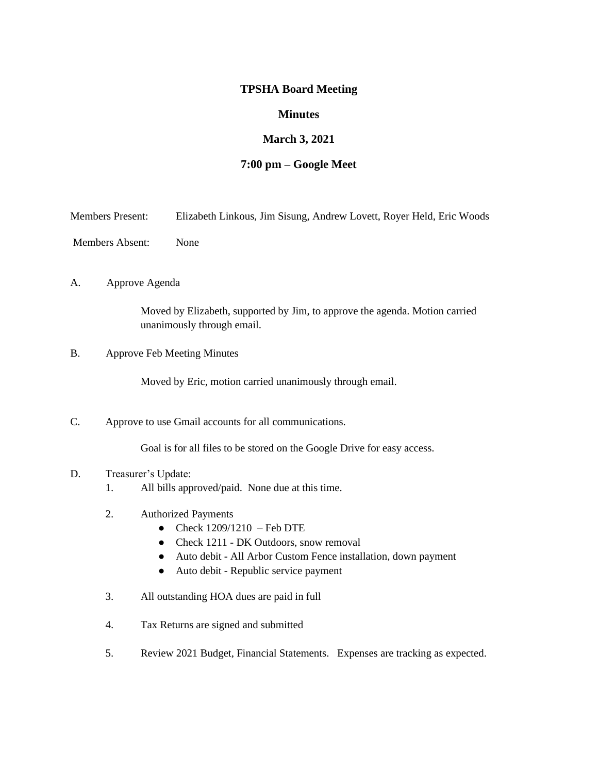# **TPSHA Board Meeting**

## **Minutes**

# **March 3, 2021**

## **7:00 pm – Google Meet**

- Members Present: Elizabeth Linkous, Jim Sisung, Andrew Lovett, Royer Held, Eric Woods
- Members Absent: None

#### A. Approve Agenda

Moved by Elizabeth, supported by Jim, to approve the agenda. Motion carried unanimously through email.

B. Approve Feb Meeting Minutes

Moved by Eric, motion carried unanimously through email.

C. Approve to use Gmail accounts for all communications.

Goal is for all files to be stored on the Google Drive for easy access.

## D. Treasurer's Update:

- 1. All bills approved/paid. None due at this time.
- 2. Authorized Payments
	- Check  $1209/1210$  Feb DTE
	- Check 1211 DK Outdoors, snow removal
	- Auto debit All Arbor Custom Fence installation, down payment
	- Auto debit Republic service payment
- 3. All outstanding HOA dues are paid in full
- 4. Tax Returns are signed and submitted
- 5. Review 2021 Budget, Financial Statements. Expenses are tracking as expected.